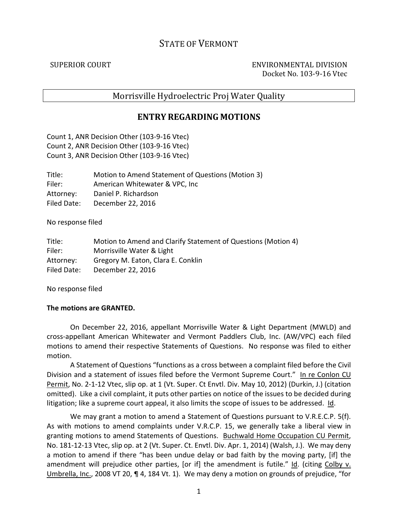# STATE OF VERMONT

SUPERIOR COURT ENVIRONMENTAL DIVISION Docket No. 103-9-16 Vtec

## Morrisville Hydroelectric Proj Water Quality

## **ENTRY REGARDING MOTIONS**

Count 1, ANR Decision Other (103-9-16 Vtec) Count 2, ANR Decision Other (103-9-16 Vtec) Count 3, ANR Decision Other (103-9-16 Vtec)

| Title:      | Motion to Amend Statement of Questions (Motion 3) |
|-------------|---------------------------------------------------|
| Filer:      | American Whitewater & VPC, Inc.                   |
| Attorney:   | Daniel P. Richardson                              |
| Filed Date: | December 22, 2016                                 |

No response filed

| Title:      | Motion to Amend and Clarify Statement of Questions (Motion 4) |
|-------------|---------------------------------------------------------------|
| Filer:      | Morrisville Water & Light                                     |
| Attorney:   | Gregory M. Eaton, Clara E. Conklin                            |
| Filed Date: | December 22, 2016                                             |

No response filed

#### **The motions are GRANTED.**

On December 22, 2016, appellant Morrisville Water & Light Department (MWLD) and cross-appellant American Whitewater and Vermont Paddlers Club, Inc. (AW/VPC) each filed motions to amend their respective Statements of Questions. No response was filed to either motion.

A Statement of Questions "functions as a cross between a complaint filed before the Civil Division and a statement of issues filed before the Vermont Supreme Court." In re Conlon CU Permit, No. 2-1-12 Vtec, slip op. at 1 (Vt. Super. Ct Envtl. Div. May 10, 2012) (Durkin, J.) (citation omitted). Like a civil complaint, it puts other parties on notice of the issues to be decided during litigation; like a supreme court appeal, it also limits the scope of issues to be addressed.  $\underline{Id}$ .

We may grant a motion to amend a Statement of Questions pursuant to V.R.E.C.P. 5(f). As with motions to amend complaints under V.R.C.P. 15, we generally take a liberal view in granting motions to amend Statements of Questions. Buchwald Home Occupation CU Permit, No. 181-12-13 Vtec, slip op. at 2 (Vt. Super. Ct. Envtl. Div. Apr. 1, 2014) (Walsh, J.). We may deny a motion to amend if there "has been undue delay or bad faith by the moving party, [if] the amendment will prejudice other parties, [or if] the amendment is futile." Id. (citing Colby v. Umbrella, Inc., 2008 VT 20, ¶ 4, 184 Vt. 1). We may deny a motion on grounds of prejudice, "for